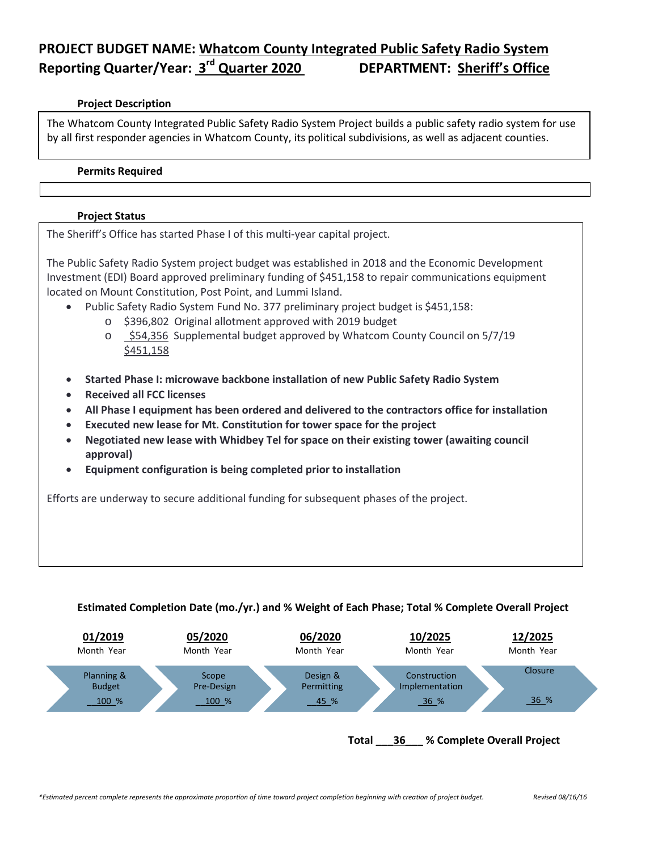# **PROJECT BUDGET NAME: Whatcom County Integrated Public Safety Radio System Reporting Quarter/Year: 3rd Quarter 2020 DEPARTMENT: Sheriff's Office**

### **Project Description**

The Whatcom County Integrated Public Safety Radio System Project builds a public safety radio system for use by all first responder agencies in Whatcom County, its political subdivisions, as well as adjacent counties.

#### **Permits Required**

## **Project Status**

The Sheriff's Office has started Phase I of this multi-year capital project.

The Public Safety Radio System project budget was established in 2018 and the Economic Development Investment (EDI) Board approved preliminary funding of \$451,158 to repair communications equipment located on Mount Constitution, Post Point, and Lummi Island.

- Public Safety Radio System Fund No. 377 preliminary project budget is \$451,158:
	- o \$396,802 Original allotment approved with 2019 budget
	- o \$54,356 Supplemental budget approved by Whatcom County Council on 5/7/19 \$451,158
- **Started Phase I: microwave backbone installation of new Public Safety Radio System**
- **Received all FCC licenses**
- **All Phase I equipment has been ordered and delivered to the contractors office for installation**
- **Executed new lease for Mt. Constitution for tower space for the project**
- **Negotiated new lease with Whidbey Tel for space on their existing tower (awaiting council approval)**
- **Equipment configuration is being completed prior to installation**

Efforts are underway to secure additional funding for subsequent phases of the project.

## **Estimated Completion Date (mo./yr.) and % Weight of Each Phase; Total % Complete Overall Project**



#### **Total \_\_\_36\_\_\_ % Complete Overall Project**